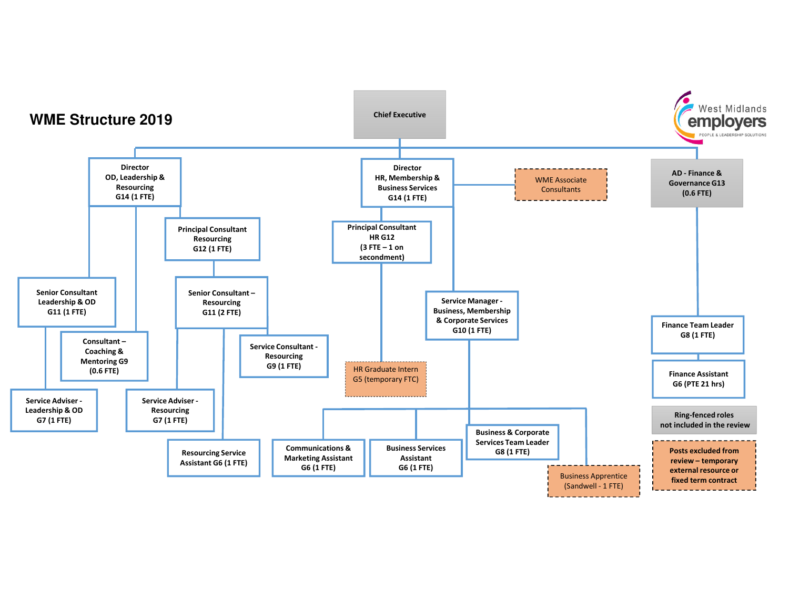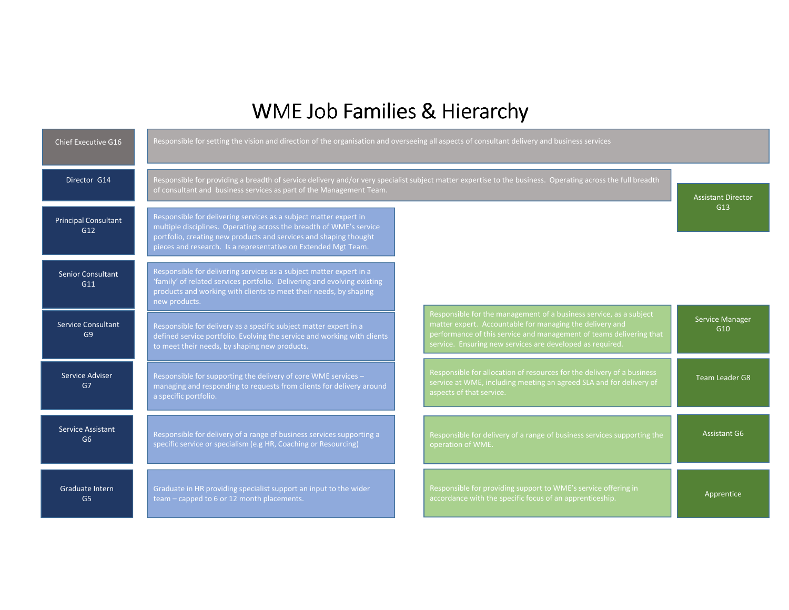## WME Job Families & Hierarchy

| Chief Executive G16                         | Responsible for setting the vision and direction of the organisation and overseeing all aspects of consultant delivery and business services                                                                                                                                    |                                                                                                                                                                                                                                                                    |                           |
|---------------------------------------------|---------------------------------------------------------------------------------------------------------------------------------------------------------------------------------------------------------------------------------------------------------------------------------|--------------------------------------------------------------------------------------------------------------------------------------------------------------------------------------------------------------------------------------------------------------------|---------------------------|
| Director G14                                | Responsible for providing a breadth of service delivery and/or very specialist subject matter expertise to the business. Operating across the full breadth<br>of consultant and business services as part of the Management Team.                                               |                                                                                                                                                                                                                                                                    | <b>Assistant Director</b> |
| <b>Principal Consultant</b><br>G12          | Responsible for delivering services as a subject matter expert in<br>multiple disciplines. Operating across the breadth of WME's service<br>portfolio, creating new products and services and shaping thought<br>pieces and research. Is a representative on Extended Mgt Team. |                                                                                                                                                                                                                                                                    | G13                       |
| <b>Senior Consultant</b><br>G11             | Responsible for delivering services as a subject matter expert in a<br>family' of related services portfolio. Delivering and evolving existing<br>products and working with clients to meet their needs, by shaping<br>new products.                                            |                                                                                                                                                                                                                                                                    |                           |
| <b>Service Consultant</b><br>G <sub>9</sub> | Responsible for delivery as a specific subject matter expert in a<br>defined service portfolio. Evolving the service and working with clients<br>to meet their needs, by shaping new products.                                                                                  | Responsible for the management of a business service, as a subject<br>matter expert. Accountable for managing the delivery and<br>performance of this service and management of teams delivering that<br>service. Ensuring new services are developed as required. | Service Manager<br>G10    |
| Service Adviser<br>G7                       | Responsible for supporting the delivery of core WME services -<br>managing and responding to requests from clients for delivery around<br>a specific portfolio.                                                                                                                 | Responsible for allocation of resources for the delivery of a business<br>service at WME, including meeting an agreed SLA and for delivery of<br>aspects of that service.                                                                                          | <b>Team Leader G8</b>     |
| Service Assistant<br>G <sub>6</sub>         | Responsible for delivery of a range of business services supporting a<br>specific service or specialism (e.g HR, Coaching or Resourcing)                                                                                                                                        | Responsible for delivery of a range of business services supporting the<br>operation of WME.                                                                                                                                                                       | <b>Assistant G6</b>       |
| Graduate Intern<br>G <sub>5</sub>           | Graduate in HR providing specialist support an input to the wider<br>team – capped to 6 or 12 month placements.                                                                                                                                                                 | Responsible for providing support to WME's service offering in<br>accordance with the specific focus of an apprenticeship.                                                                                                                                         | Apprentice                |